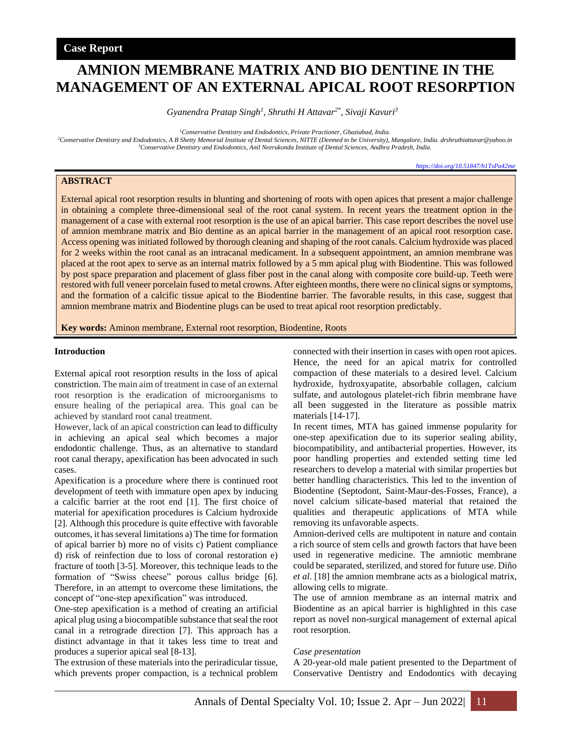# **AMNION MEMBRANE MATRIX AND BIO DENTINE IN THE MANAGEMENT OF AN EXTERNAL APICAL ROOT RESORPTION**

*Gyanendra Pratap Singh<sup>1</sup> , Shruthi H Attavar2\* , Sivaji Kavuri<sup>3</sup>*

*<sup>1</sup>Conservative Dentistry and Endodontics, Private Practioner, Ghaziabad, India.*

*<sup>2</sup>Conservative Dentistry and Endodontics, A B Shetty Memorial Institute of Dental Sciences, NITTE (Deemed to be University), Mangalore, India. drshruthiattavar@yahoo.in <sup>3</sup>Conservative Dentistry and Endodontics, Anil Neerukonda Institute of Dental Sciences, Andhra Pradesh, India.*

*<https://doi.org/10.51847/h1TsPa42me>*

## **ABSTRACT**

External apical root resorption results in blunting and shortening of roots with open apices that present a major challenge in obtaining a complete three-dimensional seal of the root canal system. In recent years the treatment option in the management of a case with external root resorption is the use of an apical barrier. This case report describes the novel use of amnion membrane matrix and Bio dentine as an apical barrier in the management of an apical root resorption case. Access opening was initiated followed by thorough cleaning and shaping of the root canals. Calcium hydroxide was placed for 2 weeks within the root canal as an intracanal medicament. In a subsequent appointment, an amnion membrane was placed at the root apex to serve as an internal matrix followed by a 5 mm apical plug with Biodentine. This was followed by post space preparation and placement of glass fiber post in the canal along with composite core build-up. Teeth were restored with full veneer porcelain fused to metal crowns. After eighteen months, there were no clinical signs or symptoms, and the formation of a calcific tissue apical to the Biodentine barrier. The favorable results, in this case, suggest that amnion membrane matrix and Biodentine plugs can be used to treat apical root resorption predictably.

**Key words:** Aminon membrane, External root resorption, Biodentine, Roots

#### **Introduction**

External apical root resorption results in the loss of apical constriction. The main aim of treatment in case of an external root resorption is the eradication of microorganisms to ensure healing of the periapical area. This goal can be achieved by standard root canal treatment.

However, lack of an apical constriction can lead to difficulty in achieving an apical seal which becomes a major endodontic challenge. Thus, as an alternative to standard root canal therapy, apexification has been advocated in such cases.

Apexification is a procedure where there is continued root development of teeth with immature open apex by inducing a calcific barrier at the root end [1]. The first choice of material for apexification procedures is Calcium hydroxide [2]. Although this procedure is quite effective with favorable outcomes, it has several limitations a) The time for formation of apical barrier b) more no of visits c) Patient compliance d) risk of reinfection due to loss of coronal restoration e) fracture of tooth [3-5]. Moreover, this technique leads to the formation of "Swiss cheese" porous callus bridge [6]. Therefore, in an attempt to overcome these limitations, the concept of "one-step apexification" was introduced.

One-step apexification is a method of creating an artificial apical plug using a biocompatible substance that seal the root canal in a retrograde direction [7]. This approach has a distinct advantage in that it takes less time to treat and produces a superior apical seal [8-13].

The extrusion of these materials into the periradicular tissue, which prevents proper compaction, is a technical problem connected with their insertion in cases with open root apices. Hence, the need for an apical matrix for controlled compaction of these materials to a desired level. Calcium hydroxide, hydroxyapatite, absorbable collagen, calcium sulfate, and autologous platelet-rich fibrin membrane have all been suggested in the literature as possible matrix materials [14-17].

In recent times, MTA has gained immense popularity for one-step apexification due to its superior sealing ability, biocompatibility, and antibacterial properties. However, its poor handling properties and extended setting time led researchers to develop a material with similar properties but better handling characteristics. This led to the invention of Biodentine (Septodont, Saint-Maur-des-Fosses, France), a novel calcium silicate-based material that retained the qualities and therapeutic applications of MTA while removing its unfavorable aspects.

Amnion-derived cells are multipotent in nature and contain a rich source of stem cells and growth factors that have been used in regenerative medicine. The amniotic membrane could be separated, sterilized, and stored for future use. Diño *et al*. [18] the amnion membrane acts as a biological matrix, allowing cells to migrate.

The use of amnion membrane as an internal matrix and Biodentine as an apical barrier is highlighted in this case report as novel non-surgical management of external apical root resorption.

#### *Case presentation*

A 20-year-old male patient presented to the Department of Conservative Dentistry and Endodontics with decaying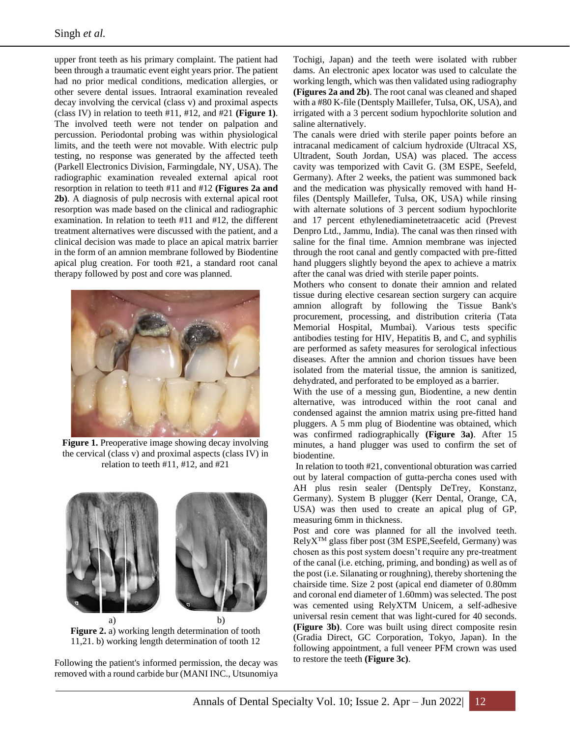upper front teeth as his primary complaint. The patient had been through a traumatic event eight years prior. The patient had no prior medical conditions, medication allergies, or other severe dental issues. Intraoral examination revealed decay involving the cervical (class v) and proximal aspects (class IV) in relation to teeth #11, #12, and #21 **(Figure 1)**. The involved teeth were not tender on palpation and percussion. Periodontal probing was within physiological limits, and the teeth were not movable. With electric pulp testing, no response was generated by the affected teeth (Parkell Electronics Division, Farmingdale, NY, USA). The radiographic examination revealed external apical root resorption in relation to teeth #11 and #12 **(Figures 2a and 2b)**. A diagnosis of pulp necrosis with external apical root resorption was made based on the clinical and radiographic examination. In relation to teeth #11 and #12, the different treatment alternatives were discussed with the patient, and a clinical decision was made to place an apical matrix barrier in the form of an amnion membrane followed by Biodentine apical plug creation. For tooth #21, a standard root canal therapy followed by post and core was planned.



**Figure 1.** Preoperative image showing decay involving the cervical (class v) and proximal aspects (class IV) in relation to teeth #11, #12, and #21



**Figure 2.** a) working length determination of tooth 11,21. b) working length determination of tooth 12

Following the patient's informed permission, the decay was removed with a round carbide bur (MANI INC., Utsunomiya Tochigi, Japan) and the teeth were isolated with rubber dams. An electronic apex locator was used to calculate the working length, which was then validated using radiography **(Figures 2a and 2b)**. The root canal was cleaned and shaped with a #80 K-file (Dentsply Maillefer, Tulsa, OK, USA), and irrigated with a 3 percent sodium hypochlorite solution and saline alternatively.

The canals were dried with sterile paper points before an intracanal medicament of calcium hydroxide (Ultracal XS, Ultradent, South Jordan, USA) was placed. The access cavity was temporized with Cavit G. (3M ESPE, Seefeld, Germany). After 2 weeks, the patient was summoned back and the medication was physically removed with hand Hfiles (Dentsply Maillefer, Tulsa, OK, USA) while rinsing with alternate solutions of 3 percent sodium hypochlorite and 17 percent ethylenediaminetetraacetic acid (Prevest Denpro Ltd., Jammu, India). The canal was then rinsed with saline for the final time. Amnion membrane was injected through the root canal and gently compacted with pre-fitted hand pluggers slightly beyond the apex to achieve a matrix after the canal was dried with sterile paper points.

Mothers who consent to donate their amnion and related tissue during elective cesarean section surgery can acquire amnion allograft by following the Tissue Bank's procurement, processing, and distribution criteria (Tata Memorial Hospital, Mumbai). Various tests specific antibodies testing for HIV, Hepatitis B, and C, and syphilis are performed as safety measures for serological infectious diseases. After the amnion and chorion tissues have been isolated from the material tissue, the amnion is sanitized, dehydrated, and perforated to be employed as a barrier.

With the use of a messing gun, Biodentine, a new dentin alternative, was introduced within the root canal and condensed against the amnion matrix using pre-fitted hand pluggers. A 5 mm plug of Biodentine was obtained, which was confirmed radiographically **(Figure 3a)**. After 15 minutes, a hand plugger was used to confirm the set of biodentine.

In relation to tooth #21, conventional obturation was carried out by lateral compaction of gutta-percha cones used with AH plus resin sealer (Dentsply DeTrey, Konstanz, Germany). System B plugger (Kerr Dental, Orange, CA, USA) was then used to create an apical plug of GP, measuring 6mm in thickness.

Post and core was planned for all the involved teeth. RelyXTM glass fiber post (3M ESPE,Seefeld, Germany) was chosen as this post system doesn't require any pre-treatment of the canal (i.e. etching, priming, and bonding) as well as of the post (i.e. Silanating or roughning), thereby shortening the chairside time. Size 2 post (apical end diameter of 0.80mm and coronal end diameter of 1.60mm) was selected. The post was cemented using RelyXTM Unicem, a self-adhesive universal resin cement that was light-cured for 40 seconds. **(Figure 3b)**. Core was built using direct composite resin (Gradia Direct, GC Corporation, Tokyo, Japan). In the following appointment, a full veneer PFM crown was used to restore the teeth **(Figure 3c)**.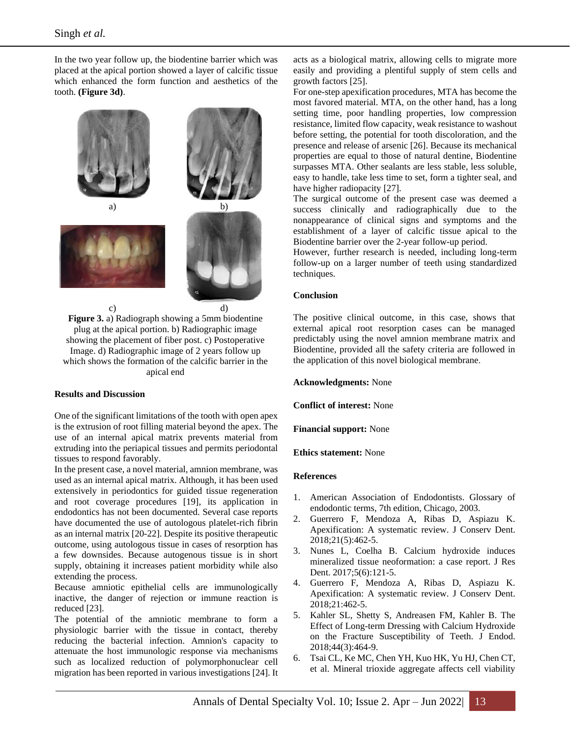In the two year follow up, the biodentine barrier which was placed at the apical portion showed a layer of calcific tissue which enhanced the form function and aesthetics of the tooth. **(Figure 3d)**.



**Figure 3.** a) Radiograph showing a 5mm biodentine plug at the apical portion. b) Radiographic image showing the placement of fiber post. c) Postoperative Image. d) Radiographic image of 2 years follow up which shows the formation of the calcific barrier in the apical end

## **Results and Discussion**

One of the significant limitations of the tooth with open apex is the extrusion of root filling material beyond the apex. The use of an internal apical matrix prevents material from extruding into the periapical tissues and permits periodontal tissues to respond favorably.

In the present case, a novel material, amnion membrane, was used as an internal apical matrix. Although, it has been used extensively in periodontics for guided tissue regeneration and root coverage procedures [19], its application in endodontics has not been documented. Several case reports have documented the use of autologous platelet-rich fibrin as an internal matrix [20-22]. Despite its positive therapeutic outcome, using autologous tissue in cases of resorption has a few downsides. Because autogenous tissue is in short supply, obtaining it increases patient morbidity while also extending the process.

Because amniotic epithelial cells are immunologically inactive, the danger of rejection or immune reaction is reduced [23].

The potential of the amniotic membrane to form a physiologic barrier with the tissue in contact, thereby reducing the bacterial infection. Amnion's capacity to attenuate the host immunologic response via mechanisms such as localized reduction of polymorphonuclear cell migration has been reported in various investigations [24]. It acts as a biological matrix, allowing cells to migrate more easily and providing a plentiful supply of stem cells and growth factors [25].

For one-step apexification procedures, MTA has become the most favored material. MTA, on the other hand, has a long setting time, poor handling properties, low compression resistance, limited flow capacity, weak resistance to washout before setting, the potential for tooth discoloration, and the presence and release of arsenic [26]. Because its mechanical properties are equal to those of natural dentine, Biodentine surpasses MTA. Other sealants are less stable, less soluble, easy to handle, take less time to set, form a tighter seal, and have higher radiopacity [27].

The surgical outcome of the present case was deemed a success clinically and radiographically due to the nonappearance of clinical signs and symptoms and the establishment of a layer of calcific tissue apical to the Biodentine barrier over the 2-year follow-up period.

However, further research is needed, including long-term follow-up on a larger number of teeth using standardized techniques.

### **Conclusion**

The positive clinical outcome, in this case, shows that external apical root resorption cases can be managed predictably using the novel amnion membrane matrix and Biodentine, provided all the safety criteria are followed in the application of this novel biological membrane.

**Acknowledgments:** None

**Conflict of interest:** None

**Financial support:** None

**Ethics statement:** None

## **References**

- 1. American Association of Endodontists. Glossary of endodontic terms, 7th edition, Chicago, 2003.
- 2. Guerrero F, Mendoza A, Ribas D, Aspiazu K. Apexification: A systematic review. J Conserv Dent. 2018;21(5):462-5.
- 3. Nunes L, Coelha B. Calcium hydroxide induces mineralized tissue neoformation: a case report. J Res Dent. 2017;5(6):121-5.
- 4. Guerrero F, Mendoza A, Ribas D, Aspiazu K. Apexification: A systematic review. J Conserv Dent. 2018;21:462-5.
- 5. Kahler SL, Shetty S, Andreasen FM, Kahler B. The Effect of Long-term Dressing with Calcium Hydroxide on the Fracture Susceptibility of Teeth. J Endod. 2018;44(3):464-9.
- 6. Tsai CL, Ke MC, Chen YH, Kuo HK, Yu HJ, Chen CT, et al. Mineral trioxide aggregate affects cell viability